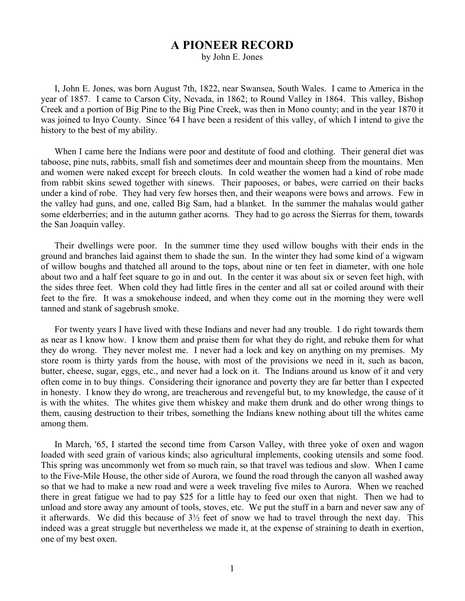## **A PIONEER RECORD**

by John E. Jones

I, John E. Jones, was born August 7th, 1822, near Swansea, South Wales. I came to America in the year of 1857. I came to Carson City, Nevada, in 1862; to Round Valley in 1864. This valley, Bishop Creek and a portion of Big Pine to the Big Pine Creek, was then in Mono county; and in the year 1870 it was joined to Inyo County. Since '64 I have been a resident of this valley, of which I intend to give the history to the best of my ability.

When I came here the Indians were poor and destitute of food and clothing. Their general diet was taboose, pine nuts, rabbits, small fish and sometimes deer and mountain sheep from the mountains. Men and women were naked except for breech clouts. In cold weather the women had a kind of robe made from rabbit skins sewed together with sinews. Their papooses, or babes, were carried on their backs under a kind of robe. They had very few horses then, and their weapons were bows and arrows. Few in the valley had guns, and one, called Big Sam, had a blanket. In the summer the mahalas would gather some elderberries; and in the autumn gather acorns. They had to go across the Sierras for them, towards the San Joaquin valley.

Their dwellings were poor. In the summer time they used willow boughs with their ends in the ground and branches laid against them to shade the sun. In the winter they had some kind of a wigwam of willow boughs and thatched all around to the tops, about nine or ten feet in diameter, with one hole about two and a half feet square to go in and out. In the center it was about six or seven feet high, with the sides three feet. When cold they had little fires in the center and all sat or coiled around with their feet to the fire. It was a smokehouse indeed, and when they come out in the morning they were well tanned and stank of sagebrush smoke.

For twenty years I have lived with these Indians and never had any trouble. I do right towards them as near as I know how. I know them and praise them for what they do right, and rebuke them for what they do wrong. They never molest me. I never had a lock and key on anything on my premises. My store room is thirty yards from the house, with most of the provisions we need in it, such as bacon, butter, cheese, sugar, eggs, etc., and never had a lock on it. The Indians around us know of it and very often come in to buy things. Considering their ignorance and poverty they are far better than I expected in honesty. I know they do wrong, are treacherous and revengeful but, to my knowledge, the cause of it is with the whites. The whites give them whiskey and make them drunk and do other wrong things to them, causing destruction to their tribes, something the Indians knew nothing about till the whites came among them.

In March, '65, I started the second time from Carson Valley, with three yoke of oxen and wagon loaded with seed grain of various kinds; also agricultural implements, cooking utensils and some food. This spring was uncommonly wet from so much rain, so that travel was tedious and slow. When I came to the Five-Mile House, the other side of Aurora, we found the road through the canyon all washed away so that we had to make a new road and were a week traveling five miles to Aurora. When we reached there in great fatigue we had to pay \$25 for a little hay to feed our oxen that night. Then we had to unload and store away any amount of tools, stoves, etc. We put the stuff in a barn and never saw any of it afterwards. We did this because of 3½ feet of snow we had to travel through the next day. This indeed was a great struggle but nevertheless we made it, at the expense of straining to death in exertion, one of my best oxen.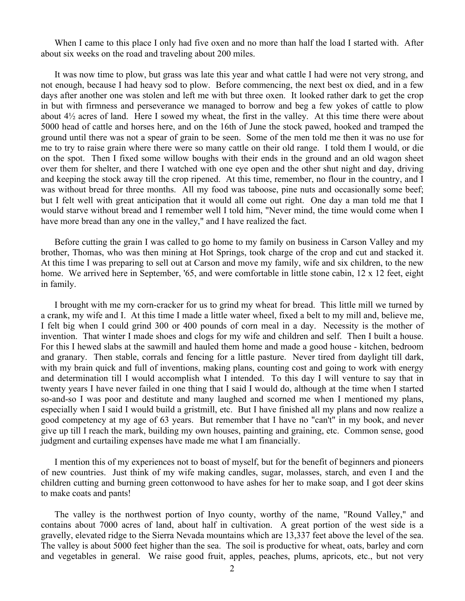When I came to this place I only had five oxen and no more than half the load I started with. After about six weeks on the road and traveling about 200 miles.

It was now time to plow, but grass was late this year and what cattle I had were not very strong, and not enough, because I had heavy sod to plow. Before commencing, the next best ox died, and in a few days after another one was stolen and left me with but three oxen. It looked rather dark to get the crop in but with firmness and perseverance we managed to borrow and beg a few yokes of cattle to plow about 4½ acres of land. Here I sowed my wheat, the first in the valley. At this time there were about 5000 head of cattle and horses here, and on the 16th of June the stock pawed, hooked and tramped the ground until there was not a spear of grain to be seen. Some of the men told me then it was no use for me to try to raise grain where there were so many cattle on their old range. I told them I would, or die on the spot. Then I fixed some willow boughs with their ends in the ground and an old wagon sheet over them for shelter, and there I watched with one eye open and the other shut night and day, driving and keeping the stock away till the crop ripened. At this time, remember, no flour in the country, and I was without bread for three months. All my food was taboose, pine nuts and occasionally some beef; but I felt well with great anticipation that it would all come out right. One day a man told me that I would starve without bread and I remember well I told him, "Never mind, the time would come when I have more bread than any one in the valley," and I have realized the fact.

Before cutting the grain I was called to go home to my family on business in Carson Valley and my brother, Thomas, who was then mining at Hot Springs, took charge of the crop and cut and stacked it. At this time I was preparing to sell out at Carson and move my family, wife and six children, to the new home. We arrived here in September, '65, and were comfortable in little stone cabin, 12 x 12 feet, eight in family.

I brought with me my corn-cracker for us to grind my wheat for bread. This little mill we turned by a crank, my wife and I. At this time I made a little water wheel, fixed a belt to my mill and, believe me, I felt big when I could grind 300 or 400 pounds of corn meal in a day. Necessity is the mother of invention. That winter I made shoes and clogs for my wife and children and self. Then I built a house. For this I hewed slabs at the sawmill and hauled them home and made a good house - kitchen, bedroom and granary. Then stable, corrals and fencing for a little pasture. Never tired from daylight till dark, with my brain quick and full of inventions, making plans, counting cost and going to work with energy and determination till I would accomplish what I intended. To this day I will venture to say that in twenty years I have never failed in one thing that I said I would do, although at the time when I started so-and-so I was poor and destitute and many laughed and scorned me when I mentioned my plans, especially when I said I would build a gristmill, etc. But I have finished all my plans and now realize a good competency at my age of 63 years. But remember that I have no "can't" in my book, and never give up till I reach the mark, building my own houses, painting and graining, etc. Common sense, good judgment and curtailing expenses have made me what I am financially.

I mention this of my experiences not to boast of myself, but for the benefit of beginners and pioneers of new countries. Just think of my wife making candles, sugar, molasses, starch, and even I and the children cutting and burning green cottonwood to have ashes for her to make soap, and I got deer skins to make coats and pants!

The valley is the northwest portion of Inyo county, worthy of the name, "Round Valley," and contains about 7000 acres of land, about half in cultivation. A great portion of the west side is a gravelly, elevated ridge to the Sierra Nevada mountains which are 13,337 feet above the level of the sea. The valley is about 5000 feet higher than the sea. The soil is productive for wheat, oats, barley and corn and vegetables in general. We raise good fruit, apples, peaches, plums, apricots, etc., but not very